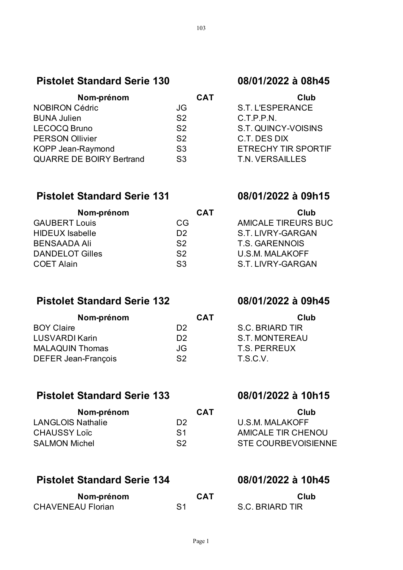## **Pistolet Standard Serie 130 08/01/2022 à 08h45**

| <b>CAT</b>     | Club                    |
|----------------|-------------------------|
| JG             | S.T. L'ESPERANCE        |
| S <sub>2</sub> | C.T.P.P.N.              |
| S <sub>2</sub> | S.T. QUINCY-VOISIN      |
| S <sub>2</sub> | C.T. DES DIX            |
| S <sub>3</sub> | <b>ETRECHY TIR SPOR</b> |
| S <sub>3</sub> | T.N. VERSAILLES         |
|                |                         |

### **Pistolet Standard Serie 131 08/01/2022 à 09h15**

### S.T. L'ESPERANCE C.T.P.P.N.

S.T. QUINCY-VOISINS C.T. DES DIX

**ETRECHY TIR SPORTIF** 

| Nom-prénom             | <b>CAT</b>     | Club                |
|------------------------|----------------|---------------------|
| <b>GAUBERT Louis</b>   | CG.            | AMICALE TIREURS BUC |
| HIDEUX Isabelle        | D <sub>2</sub> | S.T. LIVRY-GARGAN   |
| <b>BENSAADA Ali</b>    | S <sub>2</sub> | T.S. GARENNOIS      |
| <b>DANDELOT Gilles</b> | S <sub>2</sub> | U.S.M. MALAKOFF     |
| <b>COET Alain</b>      | S <sub>3</sub> | S.T. LIVRY-GARGAN   |

## **Pistolet Standard Serie 132 08/01/2022 à 09h45**

| Nom-prénom                                   | <b>CAT</b><br>Club    |
|----------------------------------------------|-----------------------|
| <b>BOY Claire</b><br>D <sub>2</sub>          | S.C. BRIARD TIR       |
| <b>LUSVARDI Karin</b><br>D <sub>2</sub>      | <b>S.T. MONTEREAU</b> |
| <b>MALAQUIN Thomas</b><br>JG                 | T.S. PERREUX          |
| <b>DEFER Jean-François</b><br>S <sub>2</sub> | T.S.C.V.              |

## **Pistolet Standard Serie 133 08/01/2022 à 10h15**

| <b>CAT</b>     | Club                |
|----------------|---------------------|
| D2             | U.S.M. MALAKOFF     |
| S <sub>1</sub> | AMICALE TIR CHENOU  |
| S <sub>2</sub> | STE COURBEVOISIENNE |
|                |                     |

## **Pistolet Standard Serie 134 08/01/2022 à 10h45**

| Nom-prénom               | <b>CAT</b> | Club            |
|--------------------------|------------|-----------------|
| <b>CHAVENEAU Florian</b> |            | S.C. BRIARD TIR |

| Club                  |
|-----------------------|
| S.C. BRIARD TIR       |
| <b>S.T. MONTEREAU</b> |
| <b>T.S. PERREUX</b>   |
| T.S.C.V.              |

| Club                |
|---------------------|
| U.S.M. MALAKOFF     |
| AMICALE TIR CHENOU  |
| STE COURBEVOISIENNE |

| Club                   |  |
|------------------------|--|
| <b>S.C. BRIARD TIR</b> |  |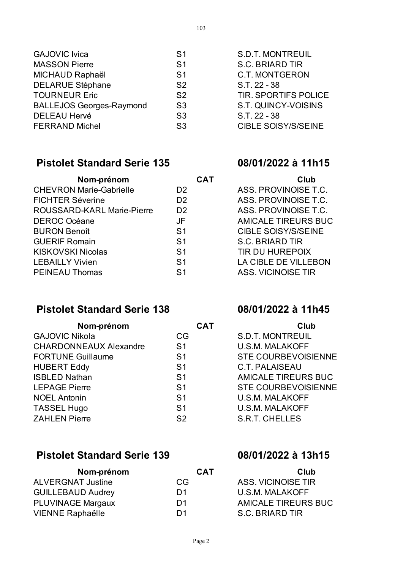| <b>GAJOVIC Ivica</b>            | S <sub>1</sub> | <b>S.D.T. MONTREUIL</b>  |
|---------------------------------|----------------|--------------------------|
| <b>MASSON Pierre</b>            | S <sub>1</sub> | <b>S.C. BRIARD TIR</b>   |
| MICHAUD Raphaël                 | S <sub>1</sub> | <b>C.T. MONTGERON</b>    |
| <b>DELARUE Stéphane</b>         | S <sub>2</sub> | S.T. 22 - 38             |
| <b>TOURNEUR Eric</b>            | S <sub>2</sub> | <b>TIR. SPORTIFS POL</b> |
| <b>BALLEJOS Georges-Raymond</b> | S <sub>3</sub> | S.T. QUINCY-VOISII       |
| <b>DELEAU Hervé</b>             | S <sub>3</sub> | S.T. 22 - 38             |
| <b>FERRAND Michel</b>           | S <sub>3</sub> | <b>CIBLE SOISY/S/SEI</b> |
|                                 |                |                          |

### **Pistolet Standard Serie 135 08/01/2022 à 11h15**

| <b>CAT</b>     | <b>Club</b>                |
|----------------|----------------------------|
| D <sub>2</sub> | ASS. PROVINOISE T.C.       |
| D <sub>2</sub> | ASS. PROVINOISE T.C.       |
| D <sub>2</sub> | ASS. PROVINOISE T.C.       |
| JF             | <b>AMICALE TIREURS BUC</b> |
| S <sub>1</sub> | <b>CIBLE SOISY/S/SEINE</b> |
| S <sub>1</sub> | <b>S.C. BRIARD TIR</b>     |
| S <sub>1</sub> | <b>TIR DU HUREPOIX</b>     |
| S <sub>1</sub> | LA CIBLE DE VILLEBON       |
| S <sub>1</sub> | <b>ASS. VICINOISE TIR</b>  |
|                |                            |

## **Pistolet Standard Serie 138 08/01/2022 à 11h45**

| Nom-prénom                    | <b>CAT</b>     | Club                       |
|-------------------------------|----------------|----------------------------|
| <b>GAJOVIC Nikola</b>         | CG             | <b>S.D.T. MONTREUIL</b>    |
| <b>CHARDONNEAUX Alexandre</b> | S <sub>1</sub> | <b>U.S.M. MALAKOFF</b>     |
| <b>FORTUNE Guillaume</b>      | S <sub>1</sub> | <b>STE COURBEVOISIENNE</b> |
| <b>HUBERT Eddy</b>            | S <sub>1</sub> | <b>C.T. PALAISEAU</b>      |
| <b>ISBLED Nathan</b>          | S <sub>1</sub> | <b>AMICALE TIREURS BUC</b> |
| <b>LEPAGE Pierre</b>          | S <sub>1</sub> | <b>STE COURBEVOISIENNE</b> |
| <b>NOEL Antonin</b>           | S <sub>1</sub> | <b>U.S.M. MALAKOFF</b>     |
| <b>TASSEL Hugo</b>            | S <sub>1</sub> | <b>U.S.M. MALAKOFF</b>     |
| <b>ZAHLEN Pierre</b>          | S <sub>2</sub> | <b>S.R.T. CHELLES</b>      |

## **Pistolet Standard Serie 139 08/01/2022 à 13h15**

| Nom-prénom               | <b>CAT</b>     | Club                   |
|--------------------------|----------------|------------------------|
| <b>ALVERGNAT Justine</b> | CG.            | ASS, VICINOISE TIR     |
| <b>GUILLEBAUD Audrey</b> | D <sub>1</sub> | <b>U.S.M. MALAKOFF</b> |
| <b>PLUVINAGE Margaux</b> | D <sub>1</sub> | AMICALE TIREURS BUC    |
| <b>VIENNE Raphaëlle</b>  | D <sub>1</sub> | S.C. BRIARD TIR        |

TIR. SPORTIFS POLICE S.T. QUINCY-VOISINS

CIBLE SOISY/S/SEINE

| Club                       |
|----------------------------|
| ASS. PROVINOISE T.C.       |
| ASS. PROVINOISE T.C.       |
| ASS. PROVINOISE T.C.       |
| <b>AMICALE TIREURS BUC</b> |
| CIBLE SOISY/S/SEINE        |
| <b>S.C. BRIARD TIR</b>     |
| TIR DU HUREPOIX            |
| LA CIBLE DE VILLEBON       |
| <b>ASS. VICINOISE TIR</b>  |

| Club                       |  |
|----------------------------|--|
| S.D.T. MONTREUIL           |  |
| U.S.M. MALAKOFF            |  |
| <b>STE COURBEVOISIENNE</b> |  |
| <b>C.T. PALAISEAU</b>      |  |
| AMICALE TIREURS BUC        |  |
| <b>STE COURBEVOISIENNE</b> |  |
| U.S.M. MALAKOFF            |  |
| U.S.M. MALAKOFF            |  |
| <b>S.R.T. CHELLES</b>      |  |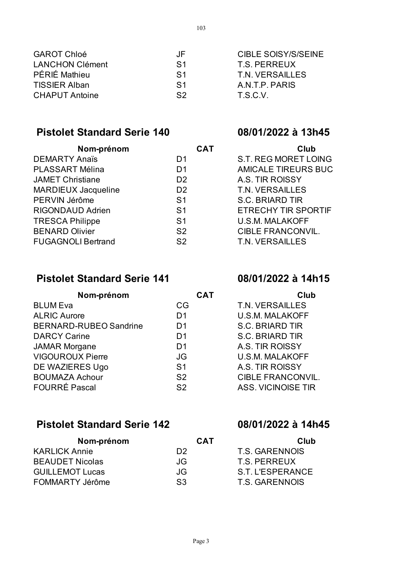| <b>GAROT Chloé</b>     | JF             | <b>CIBLE SOISY/S/SEINE</b> |
|------------------------|----------------|----------------------------|
| <b>LANCHON Clément</b> | S1             | T.S. PERREUX               |
| <b>PÉRIÉ Mathieu</b>   | S <sub>1</sub> | T.N. VERSAILLES            |
| <b>TISSIER Alban</b>   | S <sub>1</sub> | A.N.T.P. PARIS             |
| <b>CHAPUT Antoine</b>  | S <sub>2</sub> | T.S.C.V.                   |
|                        |                |                            |

## **Pistolet Standard Serie 140 08/01/2022 à 13h45**

| Nom-prénom                 | <b>CAT</b>     | Club                        |
|----------------------------|----------------|-----------------------------|
| <b>DEMARTY Anaïs</b>       | D <sub>1</sub> | <b>S.T. REG MORET LOING</b> |
| PLASSART Mélina            | D <sub>1</sub> | <b>AMICALE TIREURS BUC</b>  |
| <b>JAMET Christiane</b>    | D <sub>2</sub> | A.S. TIR ROISSY             |
| <b>MARDIEUX Jacqueline</b> | D <sub>2</sub> | T.N. VERSAILLES             |
| PERVIN Jérôme              | S <sub>1</sub> | <b>S.C. BRIARD TIR</b>      |
| <b>RIGONDAUD Adrien</b>    | S <sub>1</sub> | <b>ETRECHY TIR SPORTIF</b>  |
| <b>TRESCA Philippe</b>     | S <sub>1</sub> | <b>U.S.M. MALAKOFF</b>      |
| <b>BENARD Olivier</b>      | S <sub>2</sub> | <b>CIBLE FRANCONVIL.</b>    |
| <b>FUGAGNOLI Bertrand</b>  | S <sub>2</sub> | T.N. VERSAILLES             |

| S.T. REG MORET LOING       |
|----------------------------|
| <b>AMICALE TIREURS BUC</b> |
| A.S. TIR ROISSY            |
| <b>T.N. VERSAILLES</b>     |
| S.C. BRIARD TIR            |
| ETRECHY TIR SPORTIF        |
| <b>U.S.M. MALAKOFF</b>     |
| <b>CIBLE FRANCONVIL.</b>   |
| T.N. VERSAILLES            |
|                            |

## **Pistolet Standard Serie 141 08/01/2022 à 14h15**

| Nom-prénom                    | <b>CAT</b>     | Club                     |
|-------------------------------|----------------|--------------------------|
| <b>BLUM Eva</b>               | CG.            | T.N. VERSAILLES          |
| <b>ALRIC Aurore</b>           | D <sub>1</sub> | <b>U.S.M. MALAKOFF</b>   |
| <b>BERNARD-RUBEO Sandrine</b> | D <sub>1</sub> | <b>S.C. BRIARD TIR</b>   |
| <b>DARCY Carine</b>           | D <sub>1</sub> | <b>S.C. BRIARD TIR</b>   |
| <b>JAMAR Morgane</b>          | D <sub>1</sub> | A.S. TIR ROISSY          |
| <b>VIGOUROUX Pierre</b>       | JG             | <b>U.S.M. MALAKOFF</b>   |
| DE WAZIERES Ugo               | S <sub>1</sub> | A.S. TIR ROISSY          |
| <b>BOUMAZA Achour</b>         | S <sub>2</sub> | <b>CIBLE FRANCONVIL.</b> |
| <b>FOURRÉ Pascal</b>          | S <sub>2</sub> | ASS, VICINOISE TIR       |

## **Pistolet Standard Serie 142 08/01/2022 à 14h45**

| Nom-prénom             | <b>CAT</b>     | Club             |
|------------------------|----------------|------------------|
| <b>KARLICK Annie</b>   | D <sub>2</sub> | T.S. GARENNOIS   |
| <b>BEAUDET Nicolas</b> | JG.            | T.S. PERREUX     |
| <b>GUILLEMOT Lucas</b> | JG.            | S.T. L'ESPERANCE |
| FOMMARTY Jérôme        | S <sub>3</sub> | T.S. GARENNOIS   |

| Club                   |
|------------------------|
| T.N. VERSAILLES        |
| U.S.M. MALAKOFF        |
| <b>S.C. BRIARD TIR</b> |
| S.C. BRIARD TIR        |
| A.S. TIR ROISSY        |
| U.S.M. MALAKOFF        |
| A.S. TIR ROISSY        |
| CIBLE FRANCONVIL.      |
| LOC ITICININICE TID    |

| Club                  |
|-----------------------|
| T.S. GARENNOIS        |
| T.S. PERREUX          |
| S.T. L'ESPERANCE      |
| <b>T.S. GARENNOIS</b> |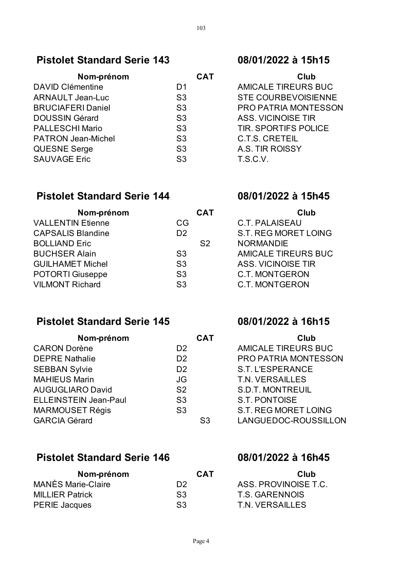### **Pistolet Standard Serie 143 08/01/2022 à 15h15**

| Nom-prénom                | <b>CAT</b>     | Club                        |
|---------------------------|----------------|-----------------------------|
| <b>DAVID Clémentine</b>   | D1             | <b>AMICALE TIREURS BUC</b>  |
| <b>ARNAULT Jean-Luc</b>   | S <sub>3</sub> | <b>STE COURBEVOISIENNE</b>  |
| <b>BRUCIAFERI Daniel</b>  | S <sub>3</sub> | PRO PATRIA MONTESSON        |
| <b>DOUSSIN Gérard</b>     | S <sub>3</sub> | ASS. VICINOISE TIR          |
| <b>PALLESCHI Mario</b>    | S <sub>3</sub> | <b>TIR. SPORTIFS POLICE</b> |
| <b>PATRON Jean-Michel</b> | S <sub>3</sub> | <b>C.T.S. CRETEIL</b>       |
| <b>QUESNE Serge</b>       | S <sub>3</sub> | A.S. TIR ROISSY             |
| <b>SAUVAGE Eric</b>       | S <sub>3</sub> | T.S.C.V.                    |
|                           |                |                             |

| Club                        |  |
|-----------------------------|--|
| <b>AMICALE TIREURS BUC</b>  |  |
| <b>STE COURBEVOISIENNE</b>  |  |
| PRO PATRIA MONTESSON        |  |
| ASS. VICINOISE TIR          |  |
| <b>TIR. SPORTIFS POLICE</b> |  |
| <b>C.T.S. CRETEIL</b>       |  |
| A.S. TIR ROISSY             |  |
| T.S.C.V.                    |  |

### **Pistolet Standard Serie 144 08/01/2022 à 15h45**

### **Nom-prénom CAT Club** VALLENTIN Etienne CG C.T. PALAISEAU CAPSALIS Blandine D2 S.T. REG MORET LOING BOLLIAND Eric S2 NORMANDIE BUCHSER Alain S3 AMICALE TIREURS BUC GUILHAMET Michel S3 ASS. VICINOISE TIR POTORTI Giuseppe S3 C.T. MONTGERON VILMONT Richard S3 C.T. MONTGERON

## **Pistolet Standard Serie 145 08/01/2022 à 16h15**

| Nom-prénom                   | <b>CAT</b>     | <b>Club</b>                 |
|------------------------------|----------------|-----------------------------|
| <b>CARON Dorène</b>          | D <sub>2</sub> | <b>AMICALE TIREURS BUC</b>  |
| <b>DEPRE Nathalie</b>        | D <sub>2</sub> | PRO PATRIA MONTESSON        |
| <b>SEBBAN Sylvie</b>         | D <sub>2</sub> | <b>S.T. L'ESPERANCE</b>     |
| <b>MAHIEUS Marin</b>         | JG             | <b>T.N. VERSAILLES</b>      |
| <b>AUGUGLIARO David</b>      | S <sub>2</sub> | <b>S.D.T. MONTREUIL</b>     |
| <b>ELLEINSTEIN Jean-Paul</b> | S <sub>3</sub> | S.T. PONTOISE               |
| <b>MARMOUSET Régis</b>       | S <sub>3</sub> | <b>S.T. REG MORET LOING</b> |
| <b>GARCIA Gérard</b>         | S <sub>3</sub> | LANGUEDOC-ROUSSILLON        |

### **Pistolet Standard Serie 146 08/01/2022 à 16h45**

| Nom-prénom                | <b>CAT</b>     | Club                 |
|---------------------------|----------------|----------------------|
| <b>MANÈS Marie-Claire</b> | D2             | ASS. PROVINOISE T.C. |
| <b>MILLIER Patrick</b>    | S <sub>3</sub> | T.S. GARENNOIS       |
| <b>PERIE Jacques</b>      | S <sub>3</sub> | T.N. VERSAILLES      |

| Club                       |
|----------------------------|
| <b>AMICALE TIREURS BUC</b> |
| PRO PATRIA MONTESSON       |
| S.T. L'ESPERANCE           |
| <b>T.N. VERSAILLES</b>     |
| <b>S.D.T. MONTREUIL</b>    |
| <b>S.T. PONTOISE</b>       |
| S.T. REG MORET LOING       |
| LANGUEDOC-ROUSSILLON       |

| Club                 |
|----------------------|
| ASS. PROVINOISE T.C. |
| T.S. GARENNOIS       |
| T.N. VERSAILLES      |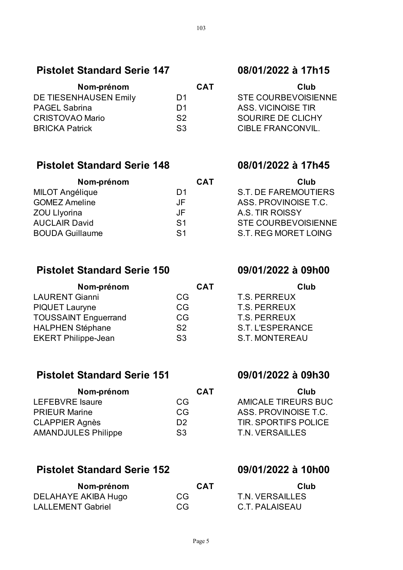### **Pistolet Standard Serie 147 08/01/2022 à 17h15**

| Nom-prénom             | <b>CAT</b>     | Club                    |
|------------------------|----------------|-------------------------|
| DE TIESENHAUSEN Emily  | D <sub>1</sub> | <b>STE COURBEVOISII</b> |
| <b>PAGEL Sabrina</b>   | D <sub>1</sub> | ASS, VICINOISE TIR      |
| <b>CRISTOVAO Mario</b> | S <sub>2</sub> | SOURIRE DE CLICH        |
| <b>BRICKA Patrick</b>  | S <sub>3</sub> | <b>CIBLE FRANCONVIL</b> |

### **Pistolet Standard Serie 148 08/01/2022 à 17h45**

| Nom-prénom             | <b>CAT</b>     | Club                       |
|------------------------|----------------|----------------------------|
| <b>MILOT Angélique</b> | D1             | S.T. DE FAREMOUTIERS       |
| <b>GOMEZ Ameline</b>   | JF             | ASS, PROVINOISE T.C.       |
| <b>ZOU Livorina</b>    | JF             | A.S. TIR ROISSY            |
| <b>AUCLAIR David</b>   | S <sub>1</sub> | <b>STE COURBEVOISIENNE</b> |
| <b>BOUDA Guillaume</b> | S <sub>1</sub> | S.T. REG MORET LOING       |

## **Pistolet Standard Serie 150 09/01/2022 à 09h00**

| Nom-prénom                  | <b>CAT</b>     | Club                  |
|-----------------------------|----------------|-----------------------|
| <b>LAURENT Gianni</b>       | CG.            | <b>T.S. PERREUX</b>   |
| <b>PIQUET Lauryne</b>       | CG.            | T.S. PERREUX          |
| <b>TOUSSAINT Enguerrand</b> | CG.            | T.S. PERREUX          |
| <b>HALPHEN Stéphane</b>     | S <sub>2</sub> | S.T. L'ESPERANCE      |
| <b>EKERT Philippe-Jean</b>  | S <sub>3</sub> | <b>S.T. MONTEREAU</b> |
|                             |                |                       |

### **Pistolet Standard Serie 151 09/01/2022 à 09h30**

| Nom-prénom                                   | <b>CAT</b>      | Club                        |
|----------------------------------------------|-----------------|-----------------------------|
| LEFEBVRE Isaure<br>CG.                       |                 | <b>AMICALE TIREURS BUC</b>  |
| <b>PRIEUR Marine</b><br>CG.                  |                 | ASS, PROVINOISE T.C.        |
| <b>CLAPPIER Agnès</b><br>D <sub>2</sub>      |                 | <b>TIR. SPORTIFS POLICE</b> |
| <b>AMANDJULES Philippe</b><br>S <sub>3</sub> | T.N. VERSAILLES |                             |

### **Pistolet Standard Serie 152 09/01/2022 à 10h00**

| Nom-prénom               | <b>CAT</b> | Club            |
|--------------------------|------------|-----------------|
| DELAHAYE AKIBA Hugo      | CG.        | T.N. VERSAILLES |
| <b>LALLEMENT Gabriel</b> | CG         | C.T. PALAISEAU  |

# STE COURBEVOISIENNE ASS. VICINOISE TIR SOURIRE DE CLICHY **CIBLE FRANCONVIL.**

| Club                       |
|----------------------------|
| S.T. DE FAREMOUTIERS       |
| ASS, PROVINOISE T.C.       |
| A.S. TIR ROISSY            |
| <b>STE COURBEVOISIENNE</b> |
| S.T. REG MORET LOING       |

| Club                  |
|-----------------------|
| T.S. PERREUX          |
| <b>T.S. PERREUX</b>   |
| <b>T.S. PERREUX</b>   |
| S.T. L'ESPERANCE      |
| <b>S.T. MONTEREAU</b> |

| Club                        |
|-----------------------------|
| <b>AMICALE TIREURS BUC</b>  |
| ASS. PROVINOISE T.C.        |
| <b>TIR. SPORTIFS POLICE</b> |
| <b>T.N. VERSAILLES</b>      |

| Club            |
|-----------------|
| T.N. VERSAILLES |
| C.T. PALAISEAU  |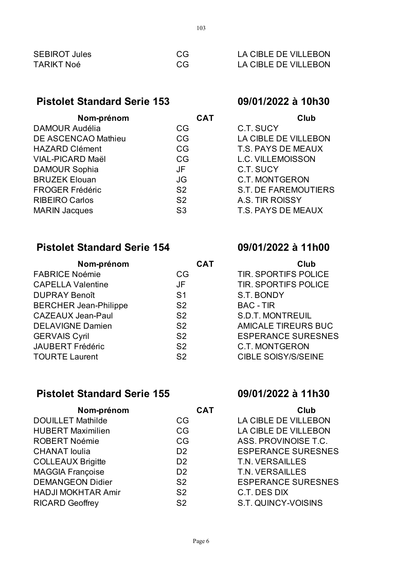| <b>SEBIROT Jules</b> | CG. | LA CIBLE DE VILLEBON |
|----------------------|-----|----------------------|
| <b>TARIKT Noé</b>    | CG. | LA CIBLE DE VILLEBON |

### **Pistolet Standard Serie 153 09/01/2022 à 10h30**

| Nom-prénom                 | <b>CAT</b>     | Club                        |
|----------------------------|----------------|-----------------------------|
| <b>DAMOUR Audélia</b>      | CG             | C.T. SUCY                   |
| <b>DE ASCENCAO Mathieu</b> | CG             | LA CIBLE DE VILLEBON        |
| <b>HAZARD Clément</b>      | CG             | T.S. PAYS DE MEAUX          |
| <b>VIAL-PICARD Maël</b>    | CG             | <b>L.C. VILLEMOISSON</b>    |
| <b>DAMOUR Sophia</b>       | JF             | C.T. SUCY                   |
| <b>BRUZEK Elouan</b>       | JG             | <b>C.T. MONTGERON</b>       |
| <b>FROGER Frédéric</b>     | S <sub>2</sub> | <b>S.T. DE FAREMOUTIERS</b> |
| <b>RIBEIRO Carlos</b>      | S <sub>2</sub> | A.S. TIR ROISSY             |
| <b>MARIN Jacques</b>       | S <sub>3</sub> | T.S. PAYS DE MEAUX          |
|                            |                |                             |

## **Pistolet Standard Serie 154 09/01/2022 à 11h00**

| Nom-prénom                   | <b>CAT</b>     | Club                        |
|------------------------------|----------------|-----------------------------|
| <b>FABRICE Noémie</b>        | CG             | <b>TIR. SPORTIFS POLICE</b> |
| <b>CAPELLA Valentine</b>     | <b>JF</b>      | <b>TIR. SPORTIFS POLICE</b> |
| <b>DUPRAY Benoît</b>         | S <sub>1</sub> | S.T. BONDY                  |
| <b>BERCHER Jean-Philippe</b> | S <sub>2</sub> | <b>BAC - TIR</b>            |
| <b>CAZEAUX Jean-Paul</b>     | S <sub>2</sub> | <b>S.D.T. MONTREUIL</b>     |
| <b>DELAVIGNE Damien</b>      | S <sub>2</sub> | <b>AMICALE TIREURS BUC</b>  |
| <b>GERVAIS Cyril</b>         | S <sub>2</sub> | <b>ESPERANCE SURESNES</b>   |
| <b>JAUBERT Frédéric</b>      | S <sub>2</sub> | <b>C.T. MONTGERON</b>       |
| <b>TOURTE Laurent</b>        | S <sub>2</sub> | <b>CIBLE SOISY/S/SEINE</b>  |
|                              |                |                             |

# **Pistolet Standard Serie 155 09/01/2022 à 11h30**

| Nom-prénom                | <b>CAT</b>     | Club                      |
|---------------------------|----------------|---------------------------|
| <b>DOUILLET Mathilde</b>  | CG.            | LA CIBLE DE VILLEBON      |
| <b>HUBERT Maximilien</b>  | CG.            | LA CIBLE DE VILLEBON      |
| <b>ROBERT Noémie</b>      | CG             | ASS. PROVINOISE T.C.      |
| <b>CHANAT</b> loulia      | D <sub>2</sub> | <b>ESPERANCE SURESNES</b> |
| <b>COLLEAUX Brigitte</b>  | D <sub>2</sub> | T.N. VERSAILLES           |
| <b>MAGGIA Françoise</b>   | D <sub>2</sub> | T.N. VERSAILLES           |
| <b>DEMANGEON Didier</b>   | S <sub>2</sub> | <b>ESPERANCE SURESNES</b> |
| <b>HADJI MOKHTAR Amir</b> | S <sub>2</sub> | C.T. DES DIX              |
| <b>RICARD Geoffrey</b>    | S <sub>2</sub> | S.T. QUINCY-VOISINS       |
|                           |                |                           |

| Club                      |  |
|---------------------------|--|
| C.T. SUCY                 |  |
| LA CIBLE DE VILLEBON      |  |
| <b>T.S. PAYS DE MEAUX</b> |  |
| L.C. VILLEMOISSON         |  |
| C.T. SUCY                 |  |
| <b>C.T. MONTGERON</b>     |  |
| S.T. DE FAREMOUTIERS      |  |
| A.S. TIR ROISSY           |  |
| <b>T.S. PAYS DE MEAUX</b> |  |
|                           |  |

| Club                        |  |
|-----------------------------|--|
| <b>TIR. SPORTIFS POLICE</b> |  |
| <b>TIR. SPORTIFS POLICE</b> |  |
| S.T. BONDY                  |  |
| <b>BAC - TIR</b>            |  |
| <b>S.D.T. MONTREUIL</b>     |  |
| AMICALE TIREURS BUC         |  |
| <b>ESPERANCE SURESNES</b>   |  |
| <b>C.T. MONTGERON</b>       |  |
| <b>CIBLE SOISY/S/SEINE</b>  |  |

| Club                      |
|---------------------------|
| LA CIBLE DE VILLEBON      |
| LA CIBLE DE VILLEBON      |
| ASS. PROVINOISE T.C.      |
| <b>ESPERANCE SURESNES</b> |
| T.N. VERSAILLES           |
| <b>T.N. VERSAILLES</b>    |
| <b>ESPERANCE SURESNES</b> |
| C.T. DES DIX              |
| S.T. QUINCY-VOISINS       |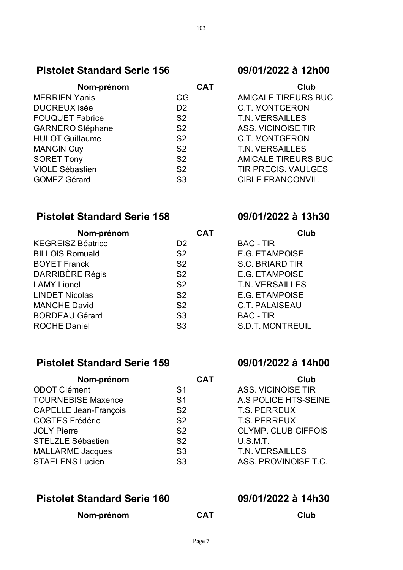## **Pistolet Standard Serie 156 09/01/2022 à 12h00**

| Nom-prénom              | <b>CAT</b>     | Club                       |
|-------------------------|----------------|----------------------------|
| <b>MERRIEN Yanis</b>    | CG.            | <b>AMICALE TIREURS BUC</b> |
| <b>DUCREUX Isée</b>     | D <sub>2</sub> | <b>C.T. MONTGERON</b>      |
| <b>FOUQUET Fabrice</b>  | S <sub>2</sub> | T.N. VERSAILLES            |
| <b>GARNERO Stéphane</b> | S <sub>2</sub> | <b>ASS. VICINOISE TIR</b>  |
| <b>HULOT Guillaume</b>  | S <sub>2</sub> | <b>C.T. MONTGERON</b>      |
| <b>MANGIN Guy</b>       | S <sub>2</sub> | T.N. VERSAILLES            |
| <b>SORET Tony</b>       | S <sub>2</sub> | <b>AMICALE TIREURS BUC</b> |
| <b>VIOLE Sébastien</b>  | S <sub>2</sub> | <b>TIR PRECIS. VAULGES</b> |
| <b>GOMEZ Gérard</b>     | S <sub>3</sub> | <b>CIBLE FRANCONVIL.</b>   |
|                         |                |                            |

## **Pistolet Standard Serie 158 09/01/2022 à 13h30**

| Nom-prénom               | <b>CAT</b>     | Club                    |
|--------------------------|----------------|-------------------------|
| <b>KEGREISZ Béatrice</b> | D <sub>2</sub> | <b>BAC - TIR</b>        |
| <b>BILLOIS Romuald</b>   | S <sub>2</sub> | <b>E.G. ETAMPOISE</b>   |
| <b>BOYET Franck</b>      | S <sub>2</sub> | <b>S.C. BRIARD TIR</b>  |
| <b>DARRIBÈRE Régis</b>   | S <sub>2</sub> | <b>E.G. ETAMPOISE</b>   |
| <b>LAMY Lionel</b>       | S <sub>2</sub> | <b>T.N. VERSAILLES</b>  |
| <b>LINDET Nicolas</b>    | S <sub>2</sub> | <b>E.G. ETAMPOISE</b>   |
| <b>MANCHE David</b>      | S <sub>2</sub> | <b>C.T. PALAISEAU</b>   |
| <b>BORDEAU Gérard</b>    | S <sub>3</sub> | <b>BAC - TIR</b>        |
| <b>ROCHE Daniel</b>      | S <sub>3</sub> | <b>S.D.T. MONTREUIL</b> |

## **Pistolet Standard Serie 159 09/01/2022 à 14h00**

| Nom-prénom                   | <b>CAT</b>     | <b>Club</b>                |
|------------------------------|----------------|----------------------------|
| <b>ODOT Clément</b>          | S <sub>1</sub> | <b>ASS. VICINOISE TIR</b>  |
| <b>TOURNEBISE Maxence</b>    | S <sub>1</sub> | A.S POLICE HTS-SEINE       |
| <b>CAPELLE Jean-François</b> | S <sub>2</sub> | <b>T.S. PERREUX</b>        |
| <b>COSTES Frédéric</b>       | S <sub>2</sub> | <b>T.S. PERREUX</b>        |
| <b>JOLY Pierre</b>           | S <sub>2</sub> | <b>OLYMP. CLUB GIFFOIS</b> |
| <b>STELZLE Sébastien</b>     | S <sub>2</sub> | U.S.M.T.                   |
| <b>MALLARME Jacques</b>      | S <sub>3</sub> | T.N. VERSAILLES            |
| <b>STAELENS Lucien</b>       | S <sub>3</sub> | ASS. PROVINOISE T.C.       |
|                              |                |                            |

### **Pistolet Standard Serie 160 09/01/2022 à 14h30**

**Nom-prénom CAT Club**

| Club                       |
|----------------------------|
| <b>AMICALE TIREURS BUC</b> |
| <b>C.T. MONTGERON</b>      |
| <b>T.N. VERSAILLES</b>     |
| ASS. VICINOISE TIR         |
| C.T. MONTGERON             |
| T.N. VERSAILLES            |
| <b>AMICALE TIREURS BUC</b> |
| <b>TIR PRECIS, VAULGES</b> |
| <b>CIBLE FRANCONVIL.</b>   |

|                         | Clu |
|-------------------------|-----|
| <b>BAC - TIR</b>        |     |
| <b>E.G. ETAMPOISE</b>   |     |
| <b>S.C. BRIARD TIR</b>  |     |
| F.G. FTAMPOISF          |     |
| <b>T.N. VERSAILLES</b>  |     |
| <b>E.G. ETAMPOISE</b>   |     |
| C.T. PALAISEAU          |     |
| <b>BAC - TIR</b>        |     |
| <b>S.D.T. MONTREUIL</b> |     |
|                         |     |

| Cilib                       |
|-----------------------------|
| <b>ASS. VICINOISE TIR</b>   |
| <b>A.S POLICE HTS-SEINE</b> |
| <b>T.S. PERREUX</b>         |
| <b>T.S. PERREUX</b>         |
| <b>OLYMP. CLUB GIFFOIS</b>  |
| U.S.M.T.                    |
| <b>T.N. VERSAILLES</b>      |
| ASS. PROVINOISE T.C.        |
|                             |